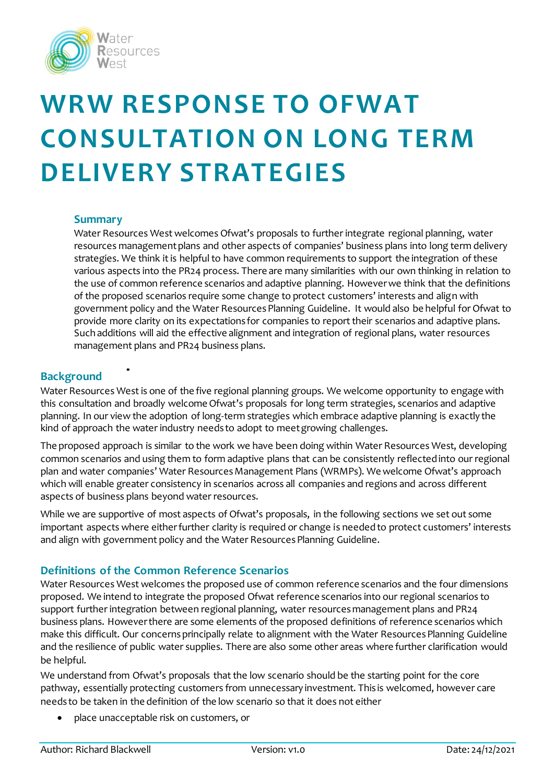

# **WRW RESPONSE TO OFWAT CONSULTATION ON LONG TERM DELIVERY STRATEGIES**

#### **Summary**

Water Resources West welcomes Ofwat's proposals to further integrate regional planning, water resources management plans and other aspects of companies' business plans into long term delivery strategies. We think it is helpful to have common requirements to support the integration of these various aspects into the PR24 process. There are many similarities with our own thinking in relation to the use of common reference scenarios and adaptive planning. However we think that the definitions of the proposed scenarios require some change to protect customers' interests and align with government policy and the Water Resources Planning Guideline. It would also be helpful for Ofwat to provide more clarity on its expectations for companies to report their scenarios and adaptive plans. Such additions will aid the effective alignment and integration of regional plans, water resources management plans and PR24 business plans.

#### **Background**

Water Resources West is one of the five regional planning groups. We welcome opportunity to engage with this consultation and broadly welcome Ofwat's proposals for long term strategies, scenarios and adaptive planning. In our view the adoption of long-term strategies which embrace adaptive planning is exactly the kind of approach the water industry needs to adopt to meet growing challenges.

The proposed approach is similar to the work we have been doing within Water Resources West, developing common scenarios and using them to form adaptive plans that can be consistently reflected into our regional plan and water companies' Water Resources Management Plans (WRMPs). We welcome Ofwat's approach which will enable greater consistency in scenarios across all companies and regions and across different aspects of business plans beyond water resources.

While we are supportive of most aspects of Ofwat's proposals, in the following sections we set out some important aspects where either further clarity is required or change is needed to protect customers' interests and align with government policy and the Water Resources Planning Guideline.

## **Definitions of the Common Reference Scenarios**

Water Resources West welcomes the proposed use of common reference scenarios and the four dimensions proposed. We intend to integrate the proposed Ofwat reference scenarios into our regional scenarios to support further integration between regional planning, water resources management plans and PR24 business plans. However there are some elements of the proposed definitions of reference scenarios which make this difficult. Our concerns principally relate to alignment with the Water Resources Planning Guideline and the resilience of public water supplies. There are also some other areas where further clarification would be helpful.

We understand from Ofwat's proposals that the low scenario should be the starting point for the core pathway, essentially protecting customers from unnecessary investment. This is welcomed, however care needs to be taken in the definition of the low scenario so that it does not either

place unacceptable risk on customers, or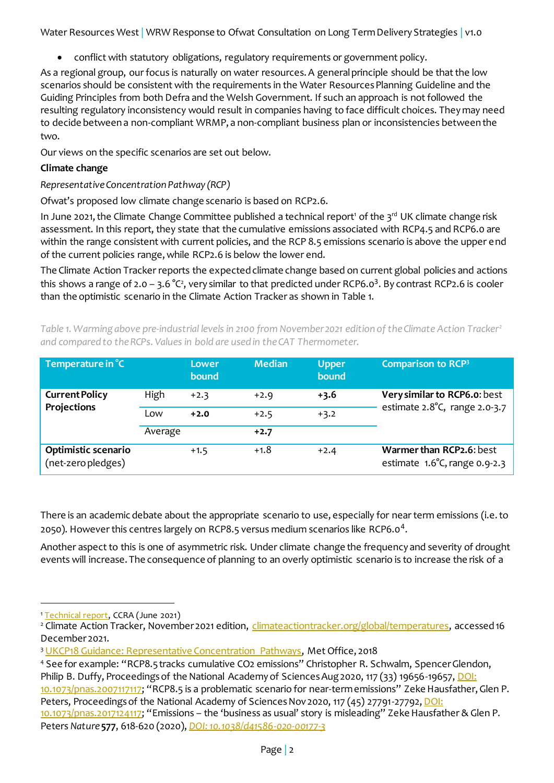conflict with statutory obligations, regulatory requirements or government policy.

As a regional group, our focus is naturally on water resources. A general principle should be that the low scenarios should be consistent with the requirements in the Water Resources Planning Guideline and the Guiding Principles from both Defra and the Welsh Government. If such an approach is not followed the resulting regulatory inconsistency would result in companies having to face difficult choices. They may need to decide between a non-compliant WRMP, a non-compliant business plan or inconsistencies between the two.

Our views on the specific scenarios are set out below.

# **Climate change**

# *Representative Concentration Pathway (RCP)*

Ofwat's proposed low climate change scenario is based on RCP2.6.

In June 2021, the Climate Change Committee published a technical report<sup>1</sup> of the  $3^{rd}$  UK climate change risk assessment. In this report, they state that the cumulative emissions associated with RCP4.5 and RCP6.0 are within the range consistent with current policies, and the RCP 8.5 emissions scenario is above the upper end of the current policies range, while RCP2.6 is below the lower end.

<span id="page-1-2"></span><span id="page-1-1"></span>The Climate Action Tracker reports the expected climate change based on current global policies and actions this shows a range of 2.0 – 3.6 °C², very similar to that predicted under RCP6.0 $^3$ . By contrast RCP2.6 is cooler than the optimistic scenario in the Climate Action Tracker as shown in [Table 1.](#page-1-0)

<span id="page-1-0"></span>*Table 1. Warming above pre-industrial levels in 2100 from November 2021 edition of the Climate Action Tracke[r](#page-1-1)<sup>2</sup> and compared to the RCPs. Values in bold are used in the CAT Thermometer.*

| Temperature in °C                         |         | Lower<br>bound | <b>Median</b> | <b>Upper</b><br>bound | <b>Comparison to RCP3</b>                                     |
|-------------------------------------------|---------|----------------|---------------|-----------------------|---------------------------------------------------------------|
| <b>Current Policy</b><br>Projections      | High    | $+2.3$         | $+2.9$        | $+3.6$                | Very similar to RCP6.o: best<br>estimate 2.8°C, range 2.0-3.7 |
|                                           | Low     | $+2.0$         | $+2.5$        | $+3.2$                |                                                               |
|                                           | Average |                | $+2.7$        |                       |                                                               |
| Optimistic scenario<br>(net-zero pledges) |         | $+1.5$         | $+1.8$        | $+2.4$                | Warmer than RCP2.6: best<br>estimate 1.6°C, range 0.9-2.3     |

There is an academic debate about the appropriate scenario to use, especially for near term emissions (i.e. to 2050). However this centres largely on RCP8.5 versus medium scenarios like RCP6.0 $^4\rm{.}$ 

Another aspect to this is one of asymmetric risk. Under climate change the frequency and severity of drought events will increase. The consequence of planning to an overly optimistic scenario is to increase the risk of a

 $\overline{a}$ 

<sup>&</sup>lt;sup>1</sup> [Technical report,](https://www.ukclimaterisk.org/independent-assessment-ccra3/technical-report/) CCRA (June 2021)

<sup>&</sup>lt;sup>2</sup> Climate Action Tracker, November 2021 edition, [climateactiontracker.org/global/temperatures,](https://climateactiontracker.org/global/temperatures/) accessed 16 December 2021.

<sup>&</sup>lt;sup>3</sup> [UKCP18 Guidance: Representative Concentration Pathways,](https://www.metoffice.gov.uk/binaries/content/assets/metofficegovuk/pdf/research/ukcp/ukcp18-guidance---representative-concentration-pathways.pdf) Met Office, 2018

<sup>4</sup> See for example: "RCP8.5 tracks cumulative CO2 emissions" Christopher R. Schwalm, Spencer Glendon,

Philip B. Duffy, Proceedings of the National Academy of Sciences Aug 2020, 117 (33) 19656-19657, DOI:

[<sup>10.1073/</sup>pnas.2007117117](https://www.pnas.org/content/117/33/19656); "RCP8.5 is a problematic scenario for near-term emissions" Zeke Hausfather, Glen P. Peters, Proceedings of the National Academy of Sciences Nov 2020, 117 (45) 27791-27792, DOI:

[<sup>10.1073/</sup>pnas.2017124117;](doi:%2010.1073/pnas.2017124117) "Emissions – the 'business as usual' story is misleading" Zeke Hausfather & Glen P. Peters *Nature* **577**, 618-620 (2020), *[DOI: 10.1038/d41586-020-00177-3](https://doi.org/10.1038/d41586-020-00177-3)*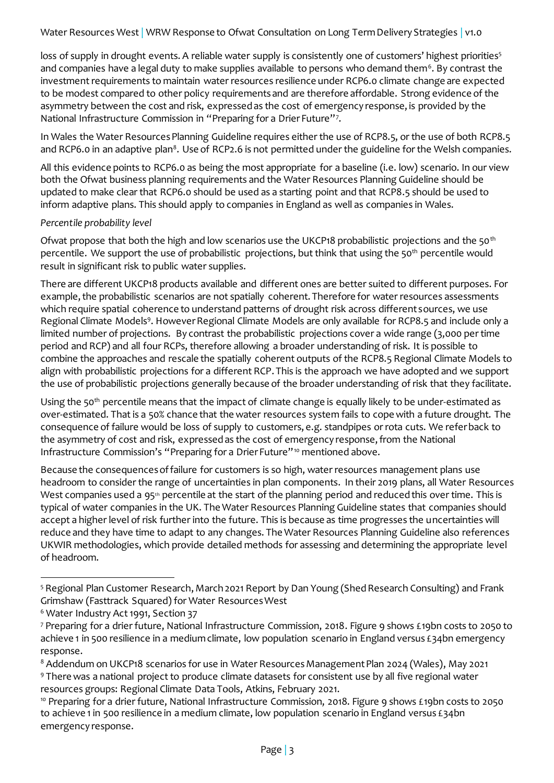loss of supply in drought events. A reliable water supply is consistently one of customers' highest priorities<sup>5</sup> and companies have a legal duty to make supplies available  $\,$  to persons who demand them $^6.$  By contrast the investment requirements to maintain water resources resilience under RCP6.0 climate change are expected to be modest compared to other policy requirements and are therefore affordable. Strong evidence of the asymmetry between the cost and risk, expressed as the cost of emergency response, is provided by the National Infrastructure Commission in "Preparing for a Drier Future"<sup>7</sup> .

In Wales the Water Resources Planning Guideline requires either the use of RCP8.5, or the use of both RCP8.5 and RCP6.0 in an adaptive plan $^{\rm 8}$ . Use of RCP2.6 is not permitted under the guideline for the Welsh companies.

All this evidence points to RCP6.0 as being the most appropriate for a baseline (i.e. low) scenario. In our view both the Ofwat business planning requirements and the Water Resources Planning Guideline should be updated to make clear that RCP6.0 should be used as a starting point and that RCP8.5 should be used to inform adaptive plans. This should apply to companies in England as well as companies in Wales.

#### *Percentile probability level*

Ofwat propose that both the high and low scenarios use the UKCP18 probabilistic projections and the 50<sup>th</sup> percentile. We support the use of probabilistic projections, but think that using the 50<sup>th</sup> percentile would result in significant risk to public water supplies.

There are different UKCP18 products available and different ones are better suited to different purposes. For example, the probabilistic scenarios are not spatially coherent. Therefore for water resources assessments which require spatial coherence to understand patterns of drought risk across different sources, we use Regional Climate Models<sup>9</sup>. However Regional Climate Models are only available for RCP8.5 and include only a limited number of projections. By contrast the probabilistic projections cover a wide range (3,000 per time period and RCP) and all four RCPs, therefore allowing a broader understanding of risk. It is possible to combine the approaches and rescale the spatially coherent outputs of the RCP8.5 Regional Climate Models to align with probabilistic projections for a different RCP. This is the approach we have adopted and we support the use of probabilistic projections generally because of the broader understanding of risk that they facilitate.

Using the 50<sup>th</sup> percentile means that the impact of climate change is equally likely to be under-estimated as over-estimated. That is a 50% chance that the water resources system fails to cope with a future drought. The consequence of failure would be loss of supply to customers, e.g. standpipes or rota cuts. We refer back to the asymmetry of cost and risk, expressed as the cost of emergency response, from the National Infrastructure Commission's "Preparing for a Drier Future"<sup>10</sup> mentioned above.

Because the consequences of failure for customers is so high, water resources management plans use headroom to consider the range of uncertainties in plan components. In their 2019 plans, all Water Resources West companies used a 95<sup>th</sup> percentile at the start of the planning period and reduced this over time. This is typical of water companies in the UK. The Water Resources Planning Guideline states that companies should accept a higher level of risk further into the future. This is because as time progresses the uncertainties will reduce and they have time to adapt to any changes. The Water Resources Planning Guideline also references UKWIR methodologies, which provide detailed methods for assessing and determining the appropriate level of headroom.

j <sup>5</sup> Regional Plan Customer Research, March 2021 Report by Dan Young (Shed Research Consulting) and Frank Grimshaw (Fasttrack Squared) for Water Resources West

<sup>&</sup>lt;sup>6</sup> Water Industry Act 1991, Section 37

<sup>7</sup> Preparing for a drier future, National Infrastructure Commission, 2018. Figure 9 shows £19bn costs to 2050 to achieve 1 in 500 resilience in a medium climate, low population scenario in England versus £34bn emergency response.

<sup>&</sup>lt;sup>8</sup> Addendum on UKCP18 scenarios for use in Water Resources Management Plan 2024 (Wales), May 2021 <sup>9</sup> There was a national project to produce climate datasets for consistent use by all five regional water resources groups: Regional Climate Data Tools, Atkins, February 2021.

<sup>10</sup> Preparing for a drier future, National Infrastructure Commission, 2018. Figure 9 shows £19bn costs to 2050 to achieve 1 in 500 resilience in a medium climate, low population scenario in England versus £34bn emergency response.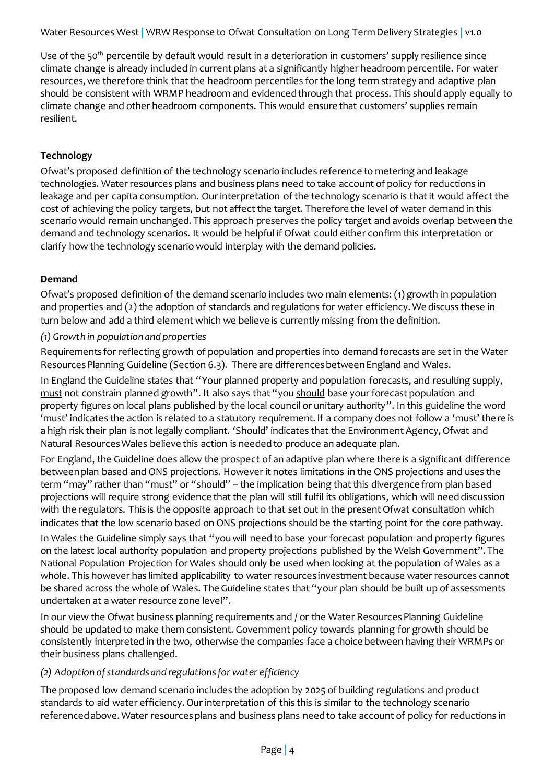Use of the 50<sup>th</sup> percentile by default would result in a deterioration in customers' supply resilience since climate change is already included in current plans at a significantly higher headroom percentile. For water resources, we therefore think that the headroom percentiles for the long term strategy and adaptive plan should be consistent with WRMP headroom and evidenced through that process. This should apply equally to climate change and other headroom components. This would ensure that customers' supplies remain resilient.

# **Technology**

Ofwat's proposed definition of the technology scenario includes reference to metering and leakage technologies. Water resources plans and business plans need to take account of policy for reductions in leakage and per capita consumption. Our interpretation of the technology scenario is that it would affect the cost of achieving the policy targets, but not affect the target. Therefore the level of water demand in this scenario would remain unchanged. This approach preserves the policy target and avoids overlap between the demand and technology scenarios. It would be helpful if Ofwat could either confirm this interpretation or clarify how the technology scenario would interplay with the demand policies.

## **Demand**

Ofwat's proposed definition of the demand scenario includes two main elements: (1) growth in population and properties and (2) the adoption of standards and regulations for water efficiency. We discuss these in turn below and add a third element which we believe is currently missing from the definition.

## *(1) Growth in population and properties*

Requirements for reflecting growth of population and properties into demand forecasts are set in the Water Resources Planning Guideline (Section 6.3). There are differences between England and Wales.

In England the Guideline states that "Your planned property and population forecasts, and resulting supply, must not constrain planned growth". It also says that "you should base your forecast population and property figures on local plans published by the local council or unitary authority". In this guideline the word 'must' indicates the action is related to a statutory requirement. If a company does not follow a 'must' there is a high risk their plan is not legally compliant. 'Should' indicates that the Environment Agency, Ofwat and Natural Resources Wales believe this action is needed to produce an adequate plan.

For England, the Guideline does allow the prospect of an adaptive plan where there is a significant difference between plan based and ONS projections. However it notes limitations in the ONS projections and uses the term "may" rather than "must" or "should" - the implication being that this divergence from plan based projections will require strong evidence that the plan will still fulfil its obligations, which will need discussion with the regulators. This is the opposite approach to that set out in the present Ofwat consultation which indicates that the low scenario based on ONS projections should be the starting point for the core pathway.

In Wales the Guideline simply says that "you will need to base your forecast population and property figures on the latest local authority population and property projections published by the Welsh Government". The National Population Projection for Wales should only be used when looking at the population of Wales as a whole. This however has limited applicability to water resources investment because water resources cannot be shared across the whole of Wales. The Guideline states that "your plan should be built up of assessments undertaken at a water resource zone level".

In our view the Ofwat business planning requirements and / or the Water Resources Planning Guideline should be updated to make them consistent. Government policy towards planning for growth should be consistently interpreted in the two, otherwise the companies face a choice between having their WRMPs or their business plans challenged.

## *(2) Adoption of standards and regulations for water efficiency*

The proposed low demand scenario includes the adoption by 2025 of building regulations and product standards to aid water efficiency. Our interpretation of this this is similar to the technology scenario referenced above. Water resources plans and business plans need to take account of policy for reductions in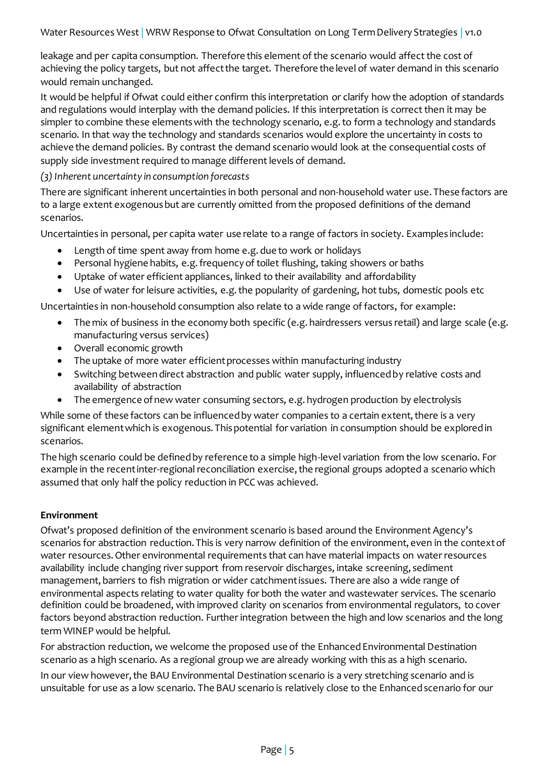leakage and per capita consumption. Therefore this element of the scenario would affect the cost of achieving the policy targets, but not affect the target. Therefore the level of water demand in this scenario would remain unchanged.

It would be helpful if Ofwat could either confirm this interpretation or clarify how the adoption of standards and regulations would interplay with the demand policies. If this interpretation is correct then it may be simpler to combine these elements with the technology scenario, e.g. to form a technology and standards scenario. In that way the technology and standards scenarios would explore the uncertainty in costs to achieve the demand policies. By contrast the demand scenario would look at the consequential costs of supply side investment required to manage different levels of demand.

*(3) Inherent uncertainty in consumption forecasts*

There are significant inherent uncertainties in both personal and non-household water use. These factors are to a large extent exogenous but are currently omitted from the proposed definitions of the demand scenarios.

Uncertainties in personal, per capita water use relate to a range of factors in society. Examples include:

- Length of time spent away from home e.g. due to work or holidays
- Personal hygiene habits, e.g. frequency of toilet flushing, taking showers or baths
- Uptake of water efficient appliances, linked to their availability and affordability
- Use of water for leisure activities, e.g. the popularity of gardening, hot tubs, domestic pools etc

Uncertainties in non-household consumption also relate to a wide range of factors, for example:

- The mix of business in the economy both specific (e.g. hairdressers versus retail) and large scale (e.g. manufacturing versus services)
- Overall economic growth
- The uptake of more water efficient processes within manufacturing industry
- Switching between direct abstraction and public water supply, influenced by relative costs and availability of abstraction
- The emergence of new water consuming sectors, e.g. hydrogen production by electrolysis

While some of these factors can be influenced by water companies to a certain extent, there is a very significant element which is exogenous. This potential for variation in consumption should be explored in scenarios.

The high scenario could be defined by reference to a simple high-level variation from the low scenario. For example in the recent inter-regional reconciliation exercise, the regional groups adopted a scenario which assumed that only half the policy reduction in PCC was achieved.

#### **Environment**

Ofwat's proposed definition of the environment scenario is based around the Environment Agency's scenarios for abstraction reduction. This is very narrow definition of the environment, even in the context of water resources. Other environmental requirements that can have material impacts on water resources availability include changing river support from reservoir discharges, intake screening, sediment management, barriers to fish migration or wider catchment issues. There are also a wide range of environmental aspects relating to water quality for both the water and wastewater services. The scenario definition could be broadened, with improved clarity on scenarios from environmental regulators, to cover factors beyond abstraction reduction. Further integration between the high and low scenarios and the long term WINEP would be helpful.

For abstraction reduction, we welcome the proposed use of the Enhanced Environmental Destination scenario as a high scenario. As a regional group we are already working with this as a high scenario.

In our view however, the BAU Environmental Destination scenario is a very stretching scenario and is unsuitable for use as a low scenario. The BAU scenario is relatively close to the Enhanced scenario for our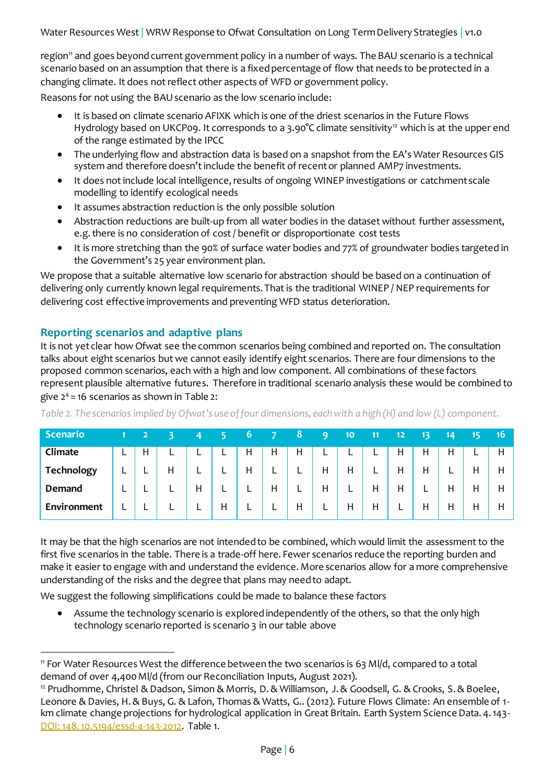region<sup>11</sup> and goes beyond current government policy in a number of ways. The BAU scenario is a technical scenario based on an assumption that there is a fixed percentage of flow that needs to be protected in a changing climate. It does not reflect other aspects of WFD or government policy.

Reasons for not using the BAU scenario as the low scenario include:

- It is based on climate scenario AFIXK which is one of the driest scenarios in the Future Flows Hydrology based on UKCP09. It corresponds to a 3.90°C climate sensitivity<sup>12</sup> which is at the upper end of the range estimated by the IPCC
- The underlying flow and abstraction data is based on a snapshot from the EA's Water Resources GIS system and therefore doesn't include the benefit of recent or planned AMP7 investments.
- It does not include local intelligence, results of ongoing WINEP investigations or catchment scale modelling to identify ecological needs
- It assumes abstraction reduction is the only possible solution
- Abstraction reductions are built-up from all water bodies in the dataset without further assessment, e.g. there is no consideration of cost / benefit or disproportionate cost tests
- It is more stretching than the 90% of surface water bodies and 77% of groundwater bodies targeted in the Government's 25 year environment plan.

We propose that a suitable alternative low scenario for abstraction should be based on a continuation of delivering only currently known legal requirements. That is the traditional WINEP / NEP requirements for delivering cost effective improvements and preventing WFD status deterioration.

# **Reporting scenarios and adaptive plans**

 $\overline{a}$ 

It is not yet clear how Ofwat see the common scenarios being combined and reported on. The consultation talks about eight scenarios but we cannot easily identify eight scenarios. There are four dimensions to the proposed common scenarios, each with a high and low component. All combinations of these factors represent plausible alternative futures. Therefore in traditional scenario analysis these would be combined to give  $2^4$  = 16 scenarios as shown in [Table 2:](#page-5-0)

| Scenario    |          |   |          |          |   | 6 |   | 8 | q | 10 | 11       | 12 | 13 | 14 | 15 | 16 |
|-------------|----------|---|----------|----------|---|---|---|---|---|----|----------|----|----|----|----|----|
| Climate     | ட        | Н |          | ┕        | ┕ | H | H | H |   | ┕  | ┕        | н  | н  | н  |    | н  |
| Technology  | ►        | - | H        | ┕        | ┕ | H | ┕ | ┕ | н | Η  | <u>.</u> | Η  | Н  | ┕  | Н  | Н  |
| Demand      | <b>.</b> |   | <b>.</b> | Η        | ┕ | ┕ | H | ∽ | Η | ┕  | Η        | Н  | ►  | Н  | Н  | Н  |
| Environment | ┕        |   |          | <u>ь</u> | Н | ► |   | Η |   | Η  | Η        | ┕  | Н  | Н  | Н  | Η  |

<span id="page-5-0"></span>*Table 2. The scenarios implied by Ofwat's use of four dimensions, each with a high (H) and low (L) component.*

It may be that the high scenarios are not intended to be combined, which would limit the assessment to the first five scenarios in the table. There is a trade-off here. Fewer scenarios reduce the reporting burden and make it easier to engage with and understand the evidence. More scenarios allow for a more comprehensive understanding of the risks and the degree that plans may need to adapt.

We suggest the following simplifications could be made to balance these factors

 Assume the technology scenario is explored independently of the others, so that the only high technology scenario reported is scenario 3 in our table above

<sup>11</sup> For Water Resources West the difference between the two scenarios is 63 Ml/d, compared to a total demand of over 4,400 Ml/d (from our Reconciliation Inputs, August 2021).

<sup>&</sup>lt;sup>12</sup> Prudhomme, Christel & Dadson, Simon & Morris, D. & Williamson, J. & Goodsell, G. & Crooks, S. & Boelee, Leonore & Davies, H. & Buys, G. & Lafon, Thomas & Watts, G.. (2012). Future Flows Climate: An ensemble of 1 km climate change projections for hydrological application in Great Britain. Earth System Science Data. 4. 143- [DOI: 148. 10.5194/essd-4-143-2012.](https://www.researchgate.net/publication/258644344_Future_Flows_Climate_An_ensemble_of_1-km_climate_change_projections_for_hydrological_application_in_Great_Britain) Table 1.